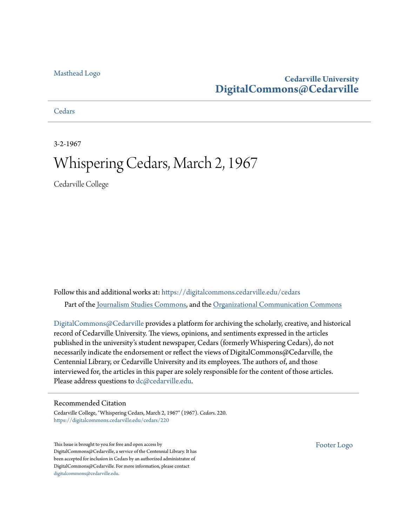#### [Masthead Logo](http://www.cedarville.edu/?utm_source=digitalcommons.cedarville.edu%2Fcedars%2F220&utm_medium=PDF&utm_campaign=PDFCoverPages)

#### **Cedarville University [DigitalCommons@Cedarville](https://digitalcommons.cedarville.edu?utm_source=digitalcommons.cedarville.edu%2Fcedars%2F220&utm_medium=PDF&utm_campaign=PDFCoverPages)**

#### **[Cedars](https://digitalcommons.cedarville.edu/cedars?utm_source=digitalcommons.cedarville.edu%2Fcedars%2F220&utm_medium=PDF&utm_campaign=PDFCoverPages)**

3-2-1967

## Whispering Cedars, March 2, 1967

Cedarville College

Follow this and additional works at: [https://digitalcommons.cedarville.edu/cedars](https://digitalcommons.cedarville.edu/cedars?utm_source=digitalcommons.cedarville.edu%2Fcedars%2F220&utm_medium=PDF&utm_campaign=PDFCoverPages) Part of the [Journalism Studies Commons](http://network.bepress.com/hgg/discipline/333?utm_source=digitalcommons.cedarville.edu%2Fcedars%2F220&utm_medium=PDF&utm_campaign=PDFCoverPages), and the [Organizational Communication Commons](http://network.bepress.com/hgg/discipline/335?utm_source=digitalcommons.cedarville.edu%2Fcedars%2F220&utm_medium=PDF&utm_campaign=PDFCoverPages)

[DigitalCommons@Cedarville](http://digitalcommons.cedarville.edu/) provides a platform for archiving the scholarly, creative, and historical record of Cedarville University. The views, opinions, and sentiments expressed in the articles published in the university's student newspaper, Cedars (formerly Whispering Cedars), do not necessarily indicate the endorsement or reflect the views of DigitalCommons@Cedarville, the Centennial Library, or Cedarville University and its employees. The authors of, and those interviewed for, the articles in this paper are solely responsible for the content of those articles. Please address questions to [dc@cedarville.edu.](mailto:dc@cedarville.edu)

#### Recommended Citation

Cedarville College, "Whispering Cedars, March 2, 1967" (1967). *Cedars*. 220. [https://digitalcommons.cedarville.edu/cedars/220](https://digitalcommons.cedarville.edu/cedars/220?utm_source=digitalcommons.cedarville.edu%2Fcedars%2F220&utm_medium=PDF&utm_campaign=PDFCoverPages)

This Issue is brought to you for free and open access by DigitalCommons@Cedarville, a service of the Centennial Library. It has been accepted for inclusion in Cedars by an authorized administrator of DigitalCommons@Cedarville. For more information, please contact [digitalcommons@cedarville.edu](mailto:digitalcommons@cedarville.edu).

[Footer Logo](http://www.cedarville.edu/Academics/Library.aspx?utm_source=digitalcommons.cedarville.edu%2Fcedars%2F220&utm_medium=PDF&utm_campaign=PDFCoverPages)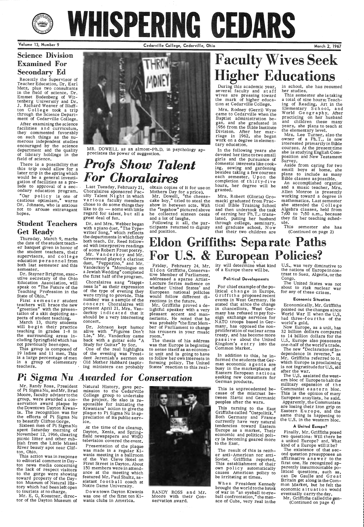# WHISPERING CEDARS

Volume 13, Number 9

Cedarville College, Cedarville, Ohio Morch 2, 1967

Recently the Supervisor of Teacher Education, Dr. Earl Metz, plus two consultants in the field of science, Dr. Emmet Bodenberg of Wittenberg University and Dr. J. Richard Weaver of Bluffton College took a trip . through the Science Department of Cedarville College.

## Science Division Examined For Secondary Ed

After examining the science facilities and curriculum, they commented favorably on such things as the numerous independent studies encouraged by the science department and the quality of library holdings in the field of science.

First semester student teachers will brace the new ... greenies" with the presentation of a skit depicting aspects of student teaching.

There is a possibility that this trip could allow for <sup>a</sup> later trip in the spring which would be a general investi-<br>gation of facilities as a pre-Iude to approval of a  $sec$ ondary education program. "Our policy is one of cautious optimism," warns Dr. Johnson, who is anxious not to arouse extravagant hopes.

This group is composed of 19 ladies and 11 men. This is a large percentage of men in a group of elementary<br>teachers.

### Student Teachers Get Ready

## *Profs Show Talent*  For *Choralaires*

Thursday, March 9, marks the date of the student teacher banquet given in honor of the student teachers, their supervisors, and college education personnel from both last semester and this semester.

Mr. Dowell, "the cheesecake boy," tried to steal the show in between acts. With the "legshow" pictured above he collected sixteen cents and a lot of laughs.<br>Following it all, the par-

ticipants returned to dignity<br>and position.

Dr. Stayner Brighton, executive secretary of the Ohio Education Association, will speak on "The Future of the Teaching Profession in the State of Ohio."

tion at Cedarville College. ing of Reading, Art in the Mrs. Rodney (Gerri) Wyse Elementary School, and came to Cedarville when the World Geography. After<br>Baptist administration be-  $\frac{\text{practicing}}{\text{practicing}}$  on her husband

owner of a  $Ph.T.,$  is now tary education. method interested primarily in Bible<br>The following the courses. At the present time In the following years she<br>devoted her time to two small she is studying English Com-<br>girls and the pursuance of Survey.

hours, her degree will be and a music teacher, Mrs.<br>granted. Allen Monroe is presently<br>working toward a degree in Mrs. Robert (Gloria) Gro- working toward a degree in macki graduated from Prac- mathematics. Last semester tical Bible Training School she attended the College tical Bible Training School she attended the C ollege and then undertook the task Algebra classes, held from of earning her Ph.T.: trans- 7:00 to 7:50 a.m., because lated, putting her husband they fit her teaching sched-

March 13, thirty students will begin their practice teaching in grades 1-8 in the surrounding areas including Springfield which has not previously been open.

MR. DOWELL as an almost-Ph.D. in psychology ap preciates the power of suggestion.

Last Tuesday, February 21, Choralaires sponsored Faculty Talent Night in which various faculty members chose to do some things they like to do — some with little regard for talent, but all <sup>a</sup> great deal of fun.

lated, putting her husband they fit her teaching sched-<br>through college, seminary, ule.<br>and graduate school. Now This semester she has that their two children are (Continued on page 2)

Dr. and Mrs. Webber began with a piano duet, "The Type writer Song," which reflects the departments in which they both teach. Dr. Reed followed with interpretive readings of some Robert Frost poetry . Mr. Vanderkoy and Mr. Greenwoqd played a clarinet duet, "Pepperino," and Mr. Vanderkoy's "Monologue on a Jewish Wedding" completed the first half of the program.

During this academic year, in school, she has resumed several faculty and staff her studies.

obtain copies of it for use on Mothers Day for aprice).

## Eldon Griffiths: Separate. Paths For U.S. & European Policies?

Dr. Johnson kept humor alive with "Figures Don't Lie." Mr. Vanderkoy came back with a guitar solo "A Study for Guitar" by Sor.<br>One of the real highlights



several faculty and staff her studies.<br>wives are pressing toward This semester she is taking the mark of higher educa- a total of nine hours: Teach-<br>tion at Cedarville College. ing of Reading, Art in the

Baptist administration be-<br>gan, and she graduated in and children these many<br>1956 from the Bible Institute years, she plans to teach at<br>Division. After her marriage in 1962, she began<br>work on a degree in element of a Ph.T., is now<br>interested primarily in Pible

girls and the pursuance of domestic interests like cookdomestic interests like cook-<br>ing, sewing and gardening small boys at home, she<br>hesides taking a few courses besides taking a few courses plans to include as many each semester. Upon the Bible classes as possible.<br>
completion of thirty-five An accomplished organist

of the evening was President Jeremiah's sermon on Old Mother Hubbard (aspir- ing ministers can probably

Friday, February 24, Mr. E 1 don Griffiths, Conservative Member of Parliament, addressed a sparse Artist-Lecture Series audience on whether United States' and European national policies would follow different directions in the future.

For chief example of the po litical change in Europe, Griffiths proposed recent events in West Germany. He stated that since the change in chancellors, West Ger many has refused to pay for eign exchange services for NATO troops based in Ger many, has opposed the non proliferation of nuclear arms treaty, and has become more pass iv e about the United Kingdom's entry into the rast to Suez, Algeria, or the<br>
Trast to Suez, Algeria, or the<br>
The United States was not<br>
Ittical change in Europe, about to risk nuclear war<br>
Griffiths proposed recent<br>
events in West Germany. He<br>
stated that since the ch

College group to undertake the project. He also is responsible for initiating the Kiwanians' action to give the plaque to Pi Sigma Nu in appreciation of its public serv-<br>ice.



When President Kennedy<br>brought the world to the brink<br>of war in "an eyeball to eyeball confrontation," the menace of Cuba, very real in the

Choralaires sang "Happiof the type of evening they were trying to provide. This number was <sup>a</sup>sample of the concert Choralaires will present April 21. Mrs. Vanderkoy indicated that it should be <sup>a</sup>very interesting concert.

 Mr. Griffiths proved a delightful speaker with a very pleasant accent and mannerisms. He noted that he was probably "the first Mem-<br>ber of Parliament to change his trousers in your music room."

The thesis of his address was that Europe is beginning to sense itself as an economic unit and is going to have to follow her own interests in forming policy. The United States' reaction to this real-

#### Political Developments

## *Pi Sigma* Nu *\_4u,arded for Conservation*

In addition to this, he informed the students that German economic a gents are<br>busy in the marketplaces of Eastern European nations seeking new consumers for German products.

Mr. Randy Ross, President Mr. Kandy Ross, President Natural History, gave per-<br>of Pi Sigma Nu, and Mr. Brad mission to the Cedarville Moore, faculty advisortothe group, were awarded a conservation award plaque by the Downtown Dayton Kiwanis. The recognition was for the efforts of Pi Sigma Nu Sixteen men of Pi Sigma Nu spent Saturday morning of November 12, 1966, clearing picnic litter and other rubbish from the Little Miami River beauty spot near Clifton, Ohio. This action was in response to editorial comment in Day-<br>ton news media concerning the lack of respect visitors to the gorge were showing toward property of the Dayton Museum of Natural History which had been left open to tourists at no charge. Mr. E. G. Koestner, director of the Dayton Museum of

At the time of the cleanup, Dayton, Xenia, and Spring- field newspapers and WHIO television covered the event.

The U.S. assisted thewestern bloc of Europe to halt the military expansion of the Communist eastern bloc. This is the opinion of many European anaylists, he said. Apparently, the Communists are losing their iron grip on Eastern Europe, and the same thing is happening to the U.S. in the western bloc.

Presentation of the plaque was made in a regular Kiwanis meeting in a ballroom of the Van Cleve Hotel on First Street in Dayton. About 150 members were in attendance at the meeting which featured Mr. Paul Shultz, assistant football coach at Notre Dame University.

Down town Dayton Kiwanis was one of the first ten Kiwanis clubs in America.

RANDY ROSS and Mr. Moore with their Conservation award.

This is unprecedented because of the mistrust between Slavic and Germanic

of a Europe there will be. the nations of Europe in con-<br>trast to Suez, Algeria, or the

The new "Declaration of Independence in reverse," as Mr. Griffiths referred to it, which Europe is proclaiming is not ingratitude for  $U.S.$  aid after the war.

peoples after the wars.

This turning to the East Griffiths called "Ostpolitik." Both Germany and France currently have very natural tendencies toward Eastern Europe as a market. Their economic and political policy is becoming geared more to the East.

The result of this is neither anti-American nor anti-Soviet, Griffiths reported. This establishment of their own policy automatically causes American policy to be irritating at times.

#### A United Europe?

Finally, Mr. Griffiths posed two questions: Will there be <sup>a</sup>united Europe? and, What kind of a Europe will it be?

The existence of that second question presupposes an affirmative answer to the first one. He recognized ap-<br>parently insurmountable poparently insurmountable po- litical questions, such as, can De Gaulle and Great Britain get along in the Common Market, but he felt the economic situation would eventually carry the day. Mr. Griffiths called the gen- (Continued on page 4)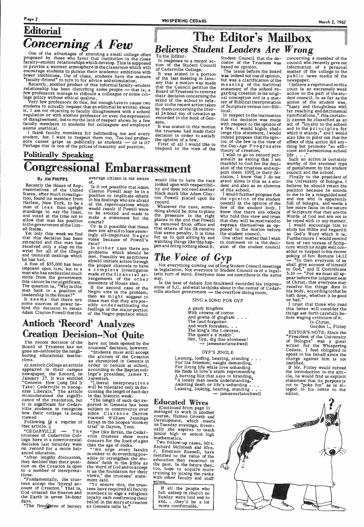## Editorial **Concerning A Few**

One of the advantages of attending a small college often proposed by those who favor that institution is the close faculty-student relationships which develop. This is supposed to provide a warmer atmosphere in the classroom which will encourage students to pursue their academic ambitions with fewer inhibitions. Out of class, students have the mature "faculty-friend" to turn to for advice and stimulation.

Recently, another product of this informal faculty-student relationship has been disturbing some people - that is, a few professors manage to ridicule a colleague or some college policy without ethical qualms.

Very few professors do this, but enough have to cause two students to actually request that an editorial be written about it. I am not objecting to faculty disagreement with a school regulation or with another professor or even the expression of disagreement, but to me the lack of respect shown by a few faculty members to students for colleagues and employer seems unethical.

I thank faculty members for befriending me and every student, but I want to respect them too. Too bad professors cannot gripe as publically as students - or is it? Perhaps that is one of the prices of maturity and position.

## WHISPERING CEDARS<br>
TIL A EditAP'S Mailbox **Believes Student Leaders Are Wrong** To the Editor:

In response to a recent action of the Student Council of Cedarville College:

It was stated in a portion of the last meeting in January that a motion was made that the Council petition the Board of Trustees to reverse their decision concerning the stand of the school in relation to the recent action taken by them concerning the literal 24 hour day of creation as recorded in the book of Genesis.

It was stated in this motion the trustees had made their decision in order to satisfy the opinion of a few.

First of all I would like to respond to the view of the Student Council that the de-<br>cision of the Trustees was based on opinion.

The issue before the board was indeed not one of opinion, but was a clarification of the meaning of the doctrinal statement of the school regarding creation in its original conception and is a matter of Biblical interpretation of Scripture versus non-Biblical.

In respect to the insinuation that the decision was made with respect to the opinion of a few, I would highly challenge this statement. I would indeed propose that the opinion of the few is the view of the Day-Age Progressive theory of creation.

I wish to go on record personally as saying that I am thankful to God for the decision of the trustees and support them 100% in their decision. I know that I do not stand alone in this as a student and also as an alumnus of this school.

I would further propose that the opinion of the student council is the opinion of the few of the student body. I know that there are others who hold this view and trust that they will be motivated to express themselves as opposed to the motion before the student council.

One other matter that I wish to comment on is the decision of the student council concerning a member of the council who recently gave out information of a personal matter of the college to the public news media of the newspaper.

I believe a reprimand on this count is an extremely weak action on the part of the student council. In as far as the action of the student was, hasty and thoughtless with far reaching and detrimental ramifications," this certainly cannot be classified as an act of "loyalty to the school and to the principles for<br>which it stands;" and I would<br>also like to point out that the effect of this action did any-<br>thing but promote "an efficient and harmonious school life  $\ldots$ "

Such an action is certainly worthy of the sternest type of punishment by the student council and the school.

Finally to the president of the University of Bologna. I believe he should retain his position because he sounds to me to be a misguided soul and one who is apparently full of bologna, and needs a few more facts on the nature of Scripture that they are the Words of God and are not to be toyed with in any manner.

I would encourage him to study his Bible and regard it as God's Word which it is. Furthermore I would remind him of two verses of Scripture which he might well consider in respect to his recent poking of fun: Romans 14:12 So then everyone of us shall give account of himself to God," and II Corinthians<br>5:10  $-$  For we must all appear before the judgment seat of Christ; that everyone may receive the things done in his body, according to that he hath done, whether it be good or bad."

I trust that those who read this letter will consider the things set forth carefully before waging criticism of it.

In Christ, Gordon L. Finley

EDITOR'S NOTE: Since the "President of the University of Bologna" was a guest writer for the Whispering Cedars, I feel obligated to speak in his behalf since the charge against him is not justified.

If Mr. Finley would reread the introduction to the article, he would find an explicit statement that its purpose is<br>not to "poke fun" as is alleged in his letter to the editor.

# Politically Speaking<br>Congressional Embarrassment

#### By JIM PHIPPS

Recently the House of Representatives of the United States, after much investigation, found its member from Harlem, New York, to be a man of less than upright standings to say the least, and voted at the time not to allow that man his position in the government of the United States.

Yet only this week we find that this decision has been retracted and this man has received only a slap on the wrist for all of the illegal and immoral dealings which he has had.

A fine of \$35,000 has been imposed upon him, but to a man who has embezzled much more from the government this cannot be too significant. The question is, "Why is this man back in a position of leadership in the House?"

It seems that there are some sources of power behind the decision to retain Adam Clayton Powell that the average citizen is not aware of.

Is it not possible that Adam Clayton Powell may be in a position to implicate others in his dealings who are afraid of the repercussions which would result if Powell were to be evicted and made to make a statement for the courts?

Or is it possible that these men are afraid to lose seemingly all-important Negro votes because of Powell's race?

In either case there are problems which should be met. Possibly we as citizens should initiate action through the proper channels to have a complete investigation made of the financial arrangements of the other members of House also.

If the second case of the Negro vote is the problem, then we might suggest to these men that they are possibly under estimating the feelings of the major portion of the Negro populace which

would like to have the race looked upon with respectibility and does not need another black mark like Adam Clayton Powell placed upon its record.

Whatever the case, something should be done to place the pressure in the right places to the end that Powell is removed from office and that others of his ilk receive that same penalty. It is time for us to quit sitting by and watching things like this happen and doing nothing about it.

## The Voice of Gyp

Not everything coming out of long Student Council meetings is legislation. Not everyone in Student Council is of a legalistic turn of mind. Everyone does not contribute in the same way.

In the heat of debate Jim Stockwell recorded his impressions of S.C. and what he thinks about in the center of Cedarville student government - the overflow dining room.

#### SING A SONG FOR GYP

A gaudy kingdom With crowns of cotton And gowns of gingham . . . The land forgotten And work forsaken. . . The king's His Lowness. The queen's a'makin'. Hey, Gyp, dig this slowness! - jamesearlstockwell

#### **GYP'S JINGLE**

Leaning, loofing, hearing, standing . . . For his freedom, naught demanding, For living life while love unhanding He finds in love's stern reprimanding A burning blot that says in branding, A lonely man needs understanding. Awaiting death or life's unbanding... Leaning, looking, hearing, standing . . - jamesearlstockwell

## **Antioch 'Record' Analyzes Creation Decision--Not Quite**

The recent decision of the Board of Trustees has not gone un-noticed by the neighboring educational institutions.

At Antioch College an article appeared in their campus newspaper, the Record, on January 27. It was entitled "Genesis: How Long Did It Take? Cedarville to Recog-<br>nize Liberals." The article<br>misunderstood the significance of the resolution, but it is significant for Cedarville students to recognize how their college is being viewed-Following is a reprint of that article.

have not been opened by the trustees' decision, however.

"Students must still accept the account of the Creation as chronicled in Genesis in order to remain at school, according to the Baptist college's president, James T. Jeremiah.

"Liberal interpretations will be tolerated only in discussing the length of each day in that historic week.

"CEDARVILLE  $-$  The trustees of Cedarville College here in a controversial decision last Saturday went on record for a more balanced education.

"After lengthy discussion, they decided that their position on the Creation is open to a number of interpretations.

"Fundamentally, the trus-<br>tees accept the 'literal account of Creation.' That is, God created the Heaven and the Earth in seven 24-hour days.

"The flood ates of heresy

"The length of each day reported in Genesis has been subject to controversy ever since Clarence Darrow roasted William Jennings<br>Bryan in the Scopes 'monkey trial' in Dayton, Tenn.

"But like Bryan, the Cedarville trustees show more concern for the Rock of Ages than the age of rocks.

"We urge every faculty member to do eveything possible to strengthen the students' faith in the Bible as the Word of God and to accept it as the foundation for their views,' the trustees' statement said.

"To ensure this, the trustees have required all faculty members to sign a religious loyalty oath confirming their belief in the story of creation as Genesis tells is.

**Educated Wives** 

(Continued from page 1) managed to work in another course, Human Growth and Development, which meets on Tuesday evenings. Eventually she aspires to teach junior high or senior high mathematics.

Two follow-up cases, Mrs. Richard McIntosh and Mrs. J. Emerson Russell, have testified to the value of the education they received in the past. In the future they, too, hope to acquire more training by joining the ranks with other faculty and staff wives.

If all the people who fall asleep in church on Sunday were laid end to end. . . they'd be a lot more comfortable.

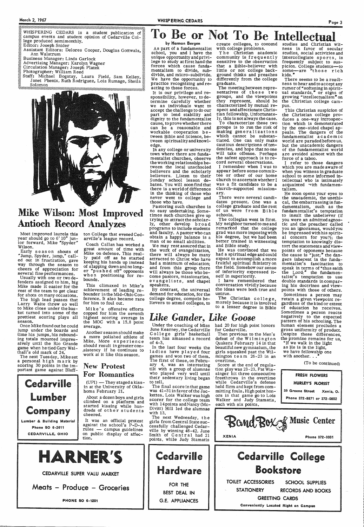#### March 2, 1967

n alam kalendar yang berasa dalam kalendar dan bahasa dan masa dan masa dan masa dan masa dan masa dalam masa<br>Kalendar masa dan masa dan masa dan masa dan masa dan masa dan masa dan masa dan masa dan masa dan masa dan ma WHISPERING CEDARS is a student publication of WHISPERING CEDARS is a student publication of  $\frac{100}{20}$  campus events and student opinion of Cedarville Col- $\frac{100}{20}$ lege produced semimonthly.

Editor: Joseph Snider

Assistant Editors: Delores Cooper, Douglas Gottwals, Ann Walstrum

Business Manager: Linda Garlock

Advertising Manager: Karolyn Wagner

Circulation Manager: Joseph Platek

Photographer: William Reed

Staff: Michael Bogatay, Laura Field, Sam Kelley, Solomon<br>
Sexes Solomon



## Mike Wilson: Most Improved **Antioch Record Analyzes**

Most improved laurels this year should go to 6'10" junior forward, Mike "Spyder" Wilson.

Early season shouts of "Jump, Spyder, jump," called out in frustration, gave way through the season to cheers of appreciation for several fine performances.

Usually with one or two defenders assigned to him, big Mike made it easier for the rest of the team to get clear for shots on many occasions.

The high lead passes that Larry Waite threw so well to Mike close under the basket turned into some of the  $\texttt{prettiest}$  scoring plays all season.

Once Mike found out he could jump under the boards and time his jumps, his rebounding totals mounted impressively until the Rio Grande game when he tied Gary Walthall's old mark of 24.

The next Tuesday, Mike set a personal high mark by scoring 30 points in the important game against Bluff-



ton College that evened Cedarville's league record.

Coach Callan has worked a great amount of time with Mike on defense. This really paid off as he started keeping his hands up instead of slapping down and no long-<br>er "pus h e d off" opponents when positioning for rebounds.

This climaxed in Mike's achievement of leading rebounder in the Mid-Ohio Conference. It also became rare for him to foul out.

Mike's offensive efforts copped for him the seventh highest scoring average in the MOC with a 15.8 point average.

Another season should make a more polished athlete of Mike. More experience should result in greater consistency if he continues to work at it like this season.

## **New Protest**

## To Be or Not To Be Intellectual

#### by Harmon Bergen

As part of a fundamentalist school, you and I have the unique opportunity and privilege to study at first hand the forces which cause fundamentalism to divide, subdivide, and micro-subdivide. We have the opportunity to practice recognizing and reacting to these forces.

It is our privilege and responsibility, however, to determine carefully whether<br>we as individuals want to accept the challenge to do our part to lend stability and dignity to the fundamentalist cause, to prove whether there can be a reasonable and workable cooperation between Bible and Science, between spirituality and knowledge.

In any college or university town where there are fundamentalist churches, observe the working relationships between the local unschooled believers and the scholarly believers. Listen to their Sunday school lesson debates. You will soon find that there is a world of difference in the thinking of those who never went to college and those who have.

Pastoring such churches is no easy undertaking. Sometimes such churches give up trying to attract the scholarly, other develop broad programs to include students and faculty. A pastor who can obtain a happy balance is a<br>man of no small abilities.

We may rest assured that in the work of evangelization. there will always be many attracted to Christ who have had a minimum of education; and from this group there will always be those who become pastors, missionaries, evangelists, and chapel speakers.

By contrast, the universal demand for education, for the college degree, compels believers to attend colleges, to

4, was an interesting

of  $4-3$ .

arv

create colleges, to contend studies and Christian witwith college problems.

The Christian academic community is frequently sensitive to the observation that a Bible-believer with little or not college background thinks and preaches differently from the college graduate.

The meeting between representatives of these two groups, and the viewpoints they represent, should be characterized by mutual respect and affectionate Christian fellowship. Unfortunately, this is not always the case.

To characterize these two groups is to run the risk of making generalizations which cannot be substan-<br>tiated. One can only make cautious descriptions of tendencies, and hope that no one will take offense. Perhaps the safest approach is to record several observations.

I remember when I was to appear before some committee or other of our home church to ascertain whether I was a fit candidate to be a church-supported missionary.

There were several candidates present. One was a college graduate and the rest of us were from Bible schools.

The collegian went in first. My neighbor turned to me and remarked that the college grad was more imposing with his degree, but we had been better trained in witnessing and Bible study.

He was convinced that we had a spiritual edge and could expect to accomplish a more fruitful spiritual ministry on the field. Somehow our sense of inferiority expressed itself in superiority.

I have remembered that conversation vividly because the ideas were both true and untrue.

The Christian college, merely because it is involved to a lesser degree in Bible

Like Gander, Like Goose Under the coaching of Miss had 20 for high point honors June Kearney, the Cedarville

for Cedarville. College girls' basketball Then previous to the Men's defeat of the Wilmington team has amassed a record Quakers February 14 in that In the last four weeks the beautiful new gymnasium, the ladies have played four girls squeaked past the Wilgames and won two of them. mington team 26-23 in an The first of these, on Februovertime.

Score at the end of regulation play was 23-23. Pat Wis-

ness in favor of secular studies, social activities and intercollegiate sports, is frequently subject to suspicion. College students-to some-are "those rich kids. $"$ 

There seems to be a readiness to hear and to accept any rumor of "softening in spiritual standards," or signs of growing "intellectualism" on the Christian college campus.

This Christian suspicion of the Christian college produces a one-way introspection which is demonstrated by the one-sided chapel appeals. The dangers of the fundamentalist academic world are paraded before us, but the unacademic dangers of the fundamentalist world are avoided almost with the force of a taboo.

I refer to those dangers which you are made aware of when you witness in graduate school to some informed intellectual who is intimately acquainted with fundamentalism.

He soon opens your eyes to the unacademic, the unethical, the embarrassing in fundamentalism, such as the<br>fundamentalist's temptation to insult the unbeliever (if you were an admitted agnostic and the preacher called you an ignoramus, would you be impressed with his spirital concern for you?); the temptation to knowingly distort the statements and viewpoints of opponents because<br>the cause is "just;" the dangers inherent in the fundamentalist's fascination to speak in terms of "thus saith the Lord:" the fundamentalist's temptation to use double standards in comparing his doctrines and viewpoints with those of others.

Sometimes a person may retain a given viewpoint regardless of the kind or extent of education he receives. Sometimes a person reacts negatively to the expected pattern of his schooling. The human element precludes a gross uniformity of product. Despite these differences, the promise remains for us,

If we walk in the light as He is in the light. we have fellowship one with another..

(To be continued)